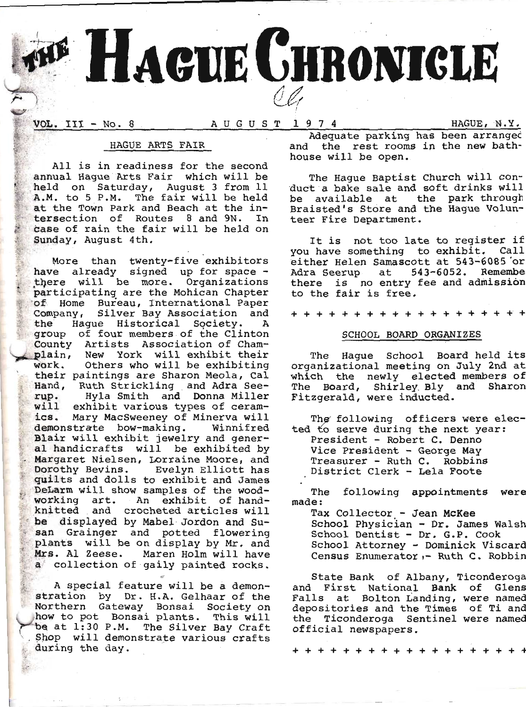

VOL. III - No. 8

HAGUE, N.Y.

### HAGUE ARTS FAIR

All is in readiness for the second annual Haque Arts Fair which will be held on Saturday, August 3 from 11 A.M. to 5 P.M. The fair will be held at the Town Park and Beach at the intersection of Routes 8 and 9N. In case of rain the fair will be held on Sunday, August 4th.

More than twenty-five exhibitors have already signed up for space there will be more. Organizations participating are the Mohican Chapter of Home Bureau, International Paper Company, Silver Bay Association and Haque Historical Society. the  $\mathbf{A}$ group of four members of the Clinton County Artists Association of Champlain, New York will exhibit their Others who will be exhibiting work. their paintings are Sharon Meola, Cal Hand, Ruth Strickling and Adra See-<br>rup. Hyla Smith and Donna Miller will exhibit various types of ceramics. Mary MacSweeney of Minerva will demonstrate bow-making. Winnifred Blair will exhibit jewelry and general handicrafts will be exhibited by Margaret Nielsen, Lorraine Moore, and Dorothy Bevins. Evelyn Elliott has quilts and dolls to exhibit and James DeLarm will show samples of the woodworking art. An exhibit of handknitted and crocheted articles will be displayed by Mabel Jordon and Susan Grainger and potted flowering plants will be on display by Mr. and Mrs. Al Zeese. Maren Holm will have a collection of gaily painted rocks.

A special feature will be a demonstration by Dr. H.A. Gelhaar of the Northern Gateway Bonsai Society on how to pot Bonsai plants. This will be at 1:30 P.M. The Silver Bay Craft Shop will demonstrate various crafts during the day.

Adequate parking has been arranged and the rest rooms in the new bathhouse will be open.

The Hague Baptist Church will conduct a bake sale and soft drinks will available at the park through be Braisted's Store and the Hague Volunteer Fire Department.

It is not too late to register if you have something to exhibit. Call either Helen Samascott at 543-6085 or Adra Seerup at 543-6052. Remembe there is no entry fee and admission to the fair is free.

+ + + + + + + + + + +

### SCHOOL BOARD ORGANIZES

The Haque School Board held its organizational meeting on July 2nd at which the newly elected members of The Board, Shirley Bly and Sharon Fitzgerald, were inducted.

The following officers were elected to serve during the next year: President - Robert C. Denno Vice President - George May Treasurer - Ruth C. Robbins District Clerk - Lela Foote

The following appointments were made:

Tax Collector - Jean McKee School Physician - Dr. James Walsh School Dentist - Dr. G.P. Cook School Attorney - Dominick Viscard Census Enumerator,- Ruth C. Robbin

State Bank of Albany, Ticonderoga and First National Bank of Glens Falls at Bolton Landing, were named depositories and the Times of Ti and the Ticonderoga Sentinel were named official newspapers.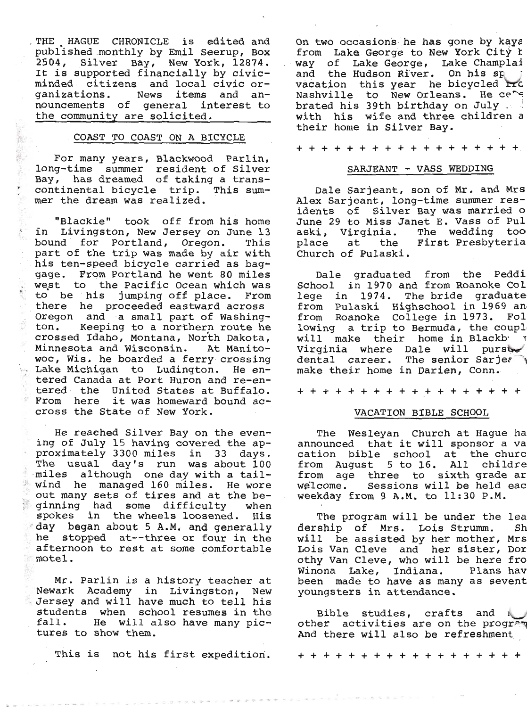. THE HAGUE CHRONICLE is edited and published monthly by Emil Seerup, Box 2504, Silver Bay, New York, 12874.<br>It is supported financially by civic-<br>minded citizens and local civic or-<br>ganizations. News items and an-<br>nouncements of general interest to<br>the community are solicited.

### COAST TO COAST ON A BICYCLE

For many years, Blackwood Parlin, long-time summer resident of Silver Bay, has dreamed of taking a trans-<br>continental bicycle trip. This sum-<br>mer the dream was realized.

"Blackie" took off from his home<br>in Livingston, New Jersey on June 13<br>bound for Portland, Oregon. This<br>part of the trip was made by air with<br>his ten-speed bicycle carried as bag-<br>gage. From Portland he went 80 miles gage. From Portland he went 80 miles<br>west to the Pacific Ocean which was<br>to be his jumping off place. From<br>there he proceeded eastward across<br>Oregon and a small part of Washing-<br>ton. Keeping to a northern route he<br>crossed

He reached Silver Bay on the even-<br>ing of July 15 having covered the approximately 3300 miles in 33 days.<br>The usual day's run was about 100<br>miles although one day with a tail-<br>wind he managed 160 miles. He wore<br>out many sets of tires and at the be-<br>ginning had some difficulty when<br>spokes in t

Mr. Parlin is a history teacher at Newark Academy in Livingston, New Jersey and will have much to tell his students when school resumes in the fall. He will also have many pic- tures to show them.

This is not his first expedition.

On two occasions he has gone by kaya<br>from Lake George to New York City t<br>way of Lake George, Lake Champlai<br>and the Hudson River. On his sp<br>vacation this year he bicycled Frc<br>Nashville to New Orleans. He cere<br>brated his 39t with his wife and three children a their home in Silver Bay.

++++++++++++++++++

## SARJEANT - VASS WEDDING

Dale Sarjeant, son of Mr. and Mrs<br>Alex Sarjeant, long-time summer res-<br>idents of Silver Bay was married o<br>June 29 to Miss Janet E. Vass of Pul<br>aski, Virginia. The wedding too<br>place at the First Presbyteria<br>Church of Pulask

Dale graduated from the Peddi<br>School in 1970 and from Roanoke Col<br>lege in 1974. The bride graduate from Pulaski Highschool in 1969 an<br>from Roanoke College in 1973. Fol<br>lowing a trip to Bermuda, the coupl<br>will make their home in Blackby<br>Virginia where Dale will pursty<br>dental career. The senior Sarjer make their home in Darien, Conn.

+ + + + + + + + + +.+ + + + + + + +

### VACATION BTBLE SCHOOL

The Wesleyan Church at Hague ha<br>announced that it will sponsor a va<br>cation bible school at the churc<br>from August 5 to 16. All childre<br>from age three to sixth grade ar<br>welcome. Sessions will be held eac<br>weekday from 9 A.M.

The program will be under the lea<br>dership of Mrs. Lois Strumm. Sh<br>will be assisted by her mother, Mrs<br>Lois Van Cleve and her sister, Dor<br>othy Van Cleve, who will be here fro<br>Winona Lake, Indiana. Plans hav<br>been made to hav

Bible studies, crafts and other activities are on the program<br>And there will also be refreshment

+++++++++++++++++++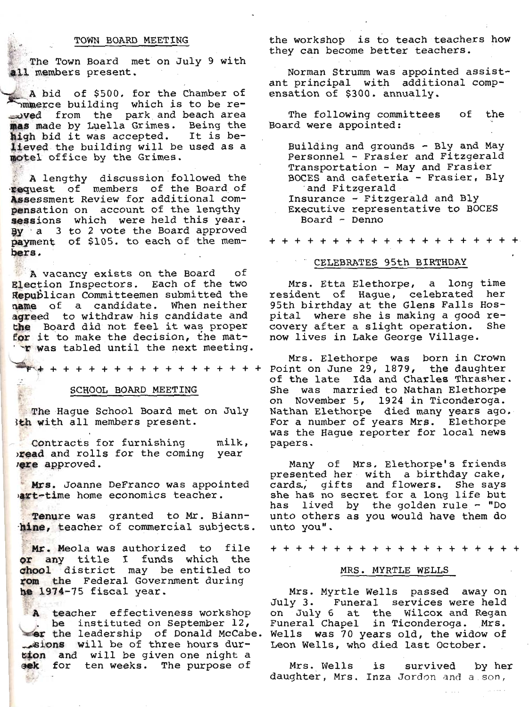### TOWN BOARD MEETING

The Town Board met on July 9 with all members present.

A bid of \$500. for the Chamber of<br>mmerce building which is to be rewed from the park and beach area mas made by Luella Grimes. Being the high bid it was accepted. It is believed the building will be used as a motel office by the Grimes.

A lengthy discussion followed the<br>request of members of the Board of<br>Assessment Review for additional compensation on account of the lengthy sessions which were held this year. By a 3 to 2 vote the Board approved payment of \$105. to each of the members.

A vacancy exists on the Board оf Election Inspectors. Each of the two Republican Committeemen submitted the name of a candidate. When neither agreed to withdraw his candidate and the Board did not feel it was proper for it to make the decision, the mat-'T was tabled until the next meeting.

**P+++++++++++++++++** 

#### SCHOOL BOARD MEETING

The Haque School Board met on July Ith with all members present.

Contracts for furnishing  $milk,$ read and rolls for the coming year rere approved.

Mrs. Joanne DeFranco was appointed art-time home economics teacher.

Tenure was granted to Mr. Biannhine, teacher of commercial subjects.

Mr. Meola was authorized to file or any title I funds which the chool district may be entitled to rom the Federal Government during he 1974-75 fiscal year.

A teacher effectiveness workshop be instituted on September 12, er the leadership of Donald McCabe. sions will be of three hours durtion and will be given one night a sek for ten weeks. The purpose of

the workshop is to teach teachers how they can become better teachers.

Norman Strumm was appointed assistant principal with additional compensation of \$300. annually.

The following committees of the Board were appointed:

Building and grounds - Bly and May Personnel - Frasier and Fitzgerald Transportation - May and Frasier BOCES and cafeteria - Frasier, Bly and Fitzgerald Insurance - Fitzgerald and Bly Executive representative to BOCES Board - Denno

+ + + + + + + + + + + + + + + + + +

#### CELEBRATES 95th BIRTHDAY

Mrs. Etta Elethorpe, a long time resident of Hague, celebrated her 95th birthday at the Glens Falls Hospital where she is making a good recovery after a slight operation. She now lives in Lake George Village.

Mrs. Elethorpe was born in Crown<br>Point on June 29, 1879, the daughter of the late Ida and Charles Thrasher. She was married to Nathan Elethorpe on November 5, 1924 in Ticonderoga. Nathan Elethorpe died many years ago. For a number of years Mrs. Elethorpe was the Haque reporter for local news papers.

Many of Mrs. Elethorpe's friends presented her with a birthday cake, cards, gifts and flowers. She says<br>she has no secret for a long life but has lived by the golden rule - "Do unto others as you would have them do unto you".

+ + + + + + + +

## MRS. MYRTLE WELLS

Mrs. Myrtle Wells passed away on July 3. Funeral services were held on July 6 at the Wilcox and Regan Funeral Chapel in Ticonderoga. Mrs. Wells was 70 years old, the widow of Leon Wells, who died last October.

Mrs. Wells is survived by her daughter, Mrs. Inza Jordon and a son,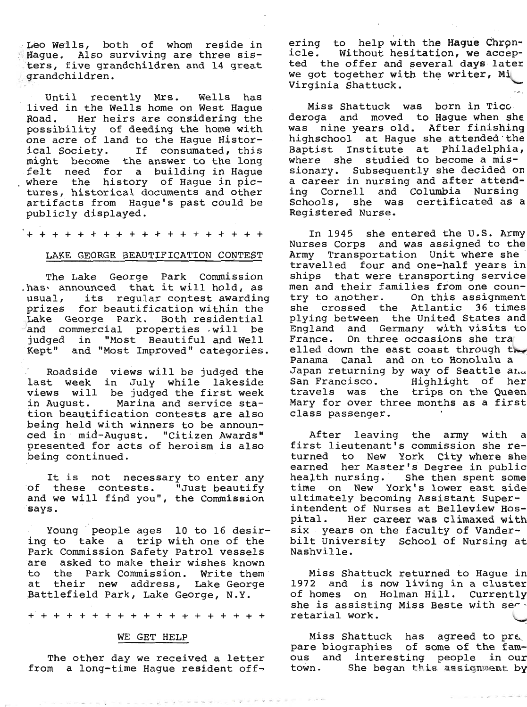Leo Wells, both of whom reside in Hague. Also surviving are three sis-<br>ters, five grandchildren and 14 great grandchildren.

Until recently Mrs. Wells has<br>lived in the Wells home on West Hague<br>Road. Her heirs are considering the<br>possibility of deeding the home-with one acre of land to the Hague Histor-<br>ical Society. If consumated, this<br>might become the answer to the long<br>felt need for a building in Hague<br>where the history of Hague in pic-<br>tures, historical documents and other<br>artifac

+++++++++++++++++++

#### LAKE GEORGE BEAUTIFICATION CONTEST

The Lake George Park Commission<br>has announced that it will hold, as<br>usual, its regular contest awarding<br>prizes for beautification within the<br>Lake George Park. Both residential<br>and commercial properties will be<br>judged in "M

Roadside views will be judged the<br>last week in July while lakeside<br>views will be judged the first week<br>in August. Marina and service sta-<br>tion beautification contests are also<br>being held with winners to be announ-<br>ced in m

It is not necessary to enter any<br>of these contests. "Just beautify<br>and we will find you", the Commission ' 8ays,

Young people ages 10 to 16 desir-<br>ing to take a trip with one of the<br>Park Commission Safety Patrol vessels<br>are asked to make their wishes known to the Park Commission. Write them<br>at their new address, Lake George<br>Battlefield Park, Lake George, N.Y.

+++++++++++++++++++

#### WE GET HELP

The other day we received a letter<br>from a long-time Hague resident off-

ering to help with the Hague Chron-<br>icle. Without hesitation, we accep-<br>ted the offer and several days later we got together with the writer, Mi

Miss Shattuck was born in Ticc.<br>deroga and moved to Hague when she<br>was nine years old. After finishing<br>highschool at Hague she attended the<br>Baptist Institute at Philadelphia,<br>where she studied to become a mis-<br>sionary. Sub ing Cornell and Columbia Nursing<br>Schools, she was certificated as a<br>Registered Nurse.

In 1945 she entered the U.S. Army Nurses Corps and was assigned to the Army Transportation Unit where she travelled four and one-half years in ships that were transporting service men and their families from one country to another. On this assignment<br>she crossed the Atlantic 36 times<br>plying between the United States and<br>England and Germany with visits to<br>France. On three occasions she tra<br>elled down the east coast through the<br>Panama C

After leaving the army with a<br>first lieutenant's commission she re-<br>turned to New York City where she<br>earned her Master's Degree in public<br>health nursing. She then spent some<br>time on New York's lower east side<br>ultimately b bilt University School of Nursing at Nashville.

Miss Shattuck returned to Hague in 1972 and is now living in a cluster of homes on Holman Hill. Currently she is assisting Miss Beste with servetarial work.

Miss Shattuck has agreed to pre,<br>pare biographies of some of the fam-<br>ous and interesting people in our<br>town. She began this assignment by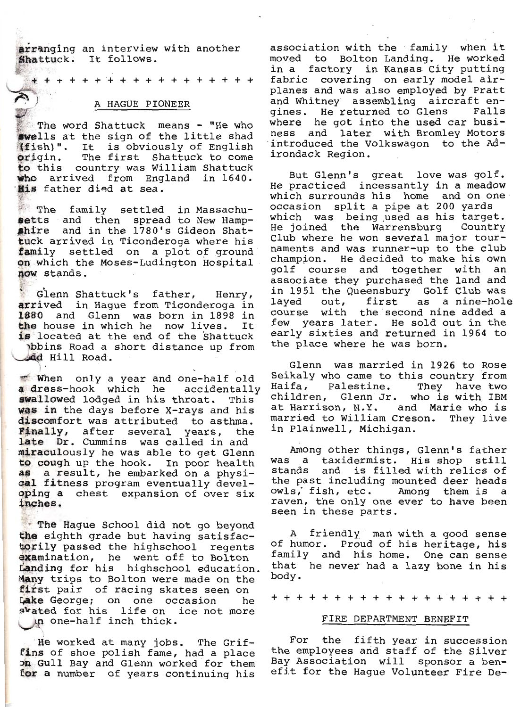arranging an interview with another Shattuck. It follows.

\* \* + + + + + + + + + + + + + + +

### A HAGUE PIONEER

The word Shattuck means - "He who swells at the sign of the little shad (fish)". It is obviously of English origin. The first Shattuck to come to this country was William Shattuck who arrived from England in 1640. His father died at sea.

The family settled in Massachusetts and then spread to New Hampshire and in the 1780's Gideon Shattuck arrived in Ticonderoga where his family settled on a plot of ground on which the Moses-Ludington Hospital now stands.

Glenn Shattuck's father, Henry, arrived in Hague from Ticonderoga in 1880 and Glenn was born in 1898 in the house in which he now lives. It is located at the end of the Shattuck obbins Road a short distance up from dd Hill Road.

When only a year and one-half old a dress-hook which he accidentally swallowed lodged in his throat. This was in the days before X-rays and his discomfort was attributed to asthma. Finally, after several years, the late Dr. Cummins was called in and miraculously he was able to get Glenn to cough up the hook. In poor health as a result, he embarked on a physical fitness program eventually developing a chest expansion of over six inches.

The Hague School did not go beyond the eighth grade but having satisfactorily passed the highschool regents examination, he went off to Bolton Landing for his highschool education. Many trips to Bolton were made on the first pair of racing skates seen on Lake George; on one occasion he skated for his life on ice not more in one-half inch thick.

He worked at many jobs. The Griffins of shoe polish fame, had a place on Gull Bay and Glenn worked for them for a number of years continuing his

association with the family when it moved to Bolton Landing. He worked in a factory in Kansas City putting fabric covering on early model airplanes and was also employed by Pratt and Whitney assembling aircraft engines. He returned to Glens Falls where he got into the used car business and later with Bromley Motors introduced the Volkswagon to the Adirondack Region.

But Glenn's great love was golf. He practiced incessantly in a meadow which surrounds his home and on one occasion split a pipe at 200 yards which was being used as his target. He joined the Warrensburg Country Club where he won several major tournaments and was runner-up to the club champion. He decided to make his own golf course and together with an associate they purchased the land and in 1951 the Queensbury Golf Club was<br>layed out, first as a nine-hole course with the second nine added a few years later. He sold out in the early sixties and returned in 1964 to the place where he was born.

Glenn was married in 1926 to Rose Seikaly who came to this country from Haifa, Palestine. They have two children, Glenn Jr. who is with IBM at Harrison, N.Y. and Marie who is married to William Creson. They live in Plainwell, Michigan.

Among other things, Glenn's father was a taxidermist. His shop still stands and is filled with relics of the past including mounted deer heads owls, fish, etc. Among them is a raven, the only one ever to have been seen in these parts.

A friendly man with a good sense of humor. Proud of his heritage, his family and his home. One can sense that he never had a lazy bone in his body.

+ + + + + + + + + + + + + + + + + +

#### FIRE DEPARTMENT BENEFIT

For the fifth year in succession<br>the employees and staff of the Silver Bay Association will sponsor a benefit for the Hague Volunteer Fire De